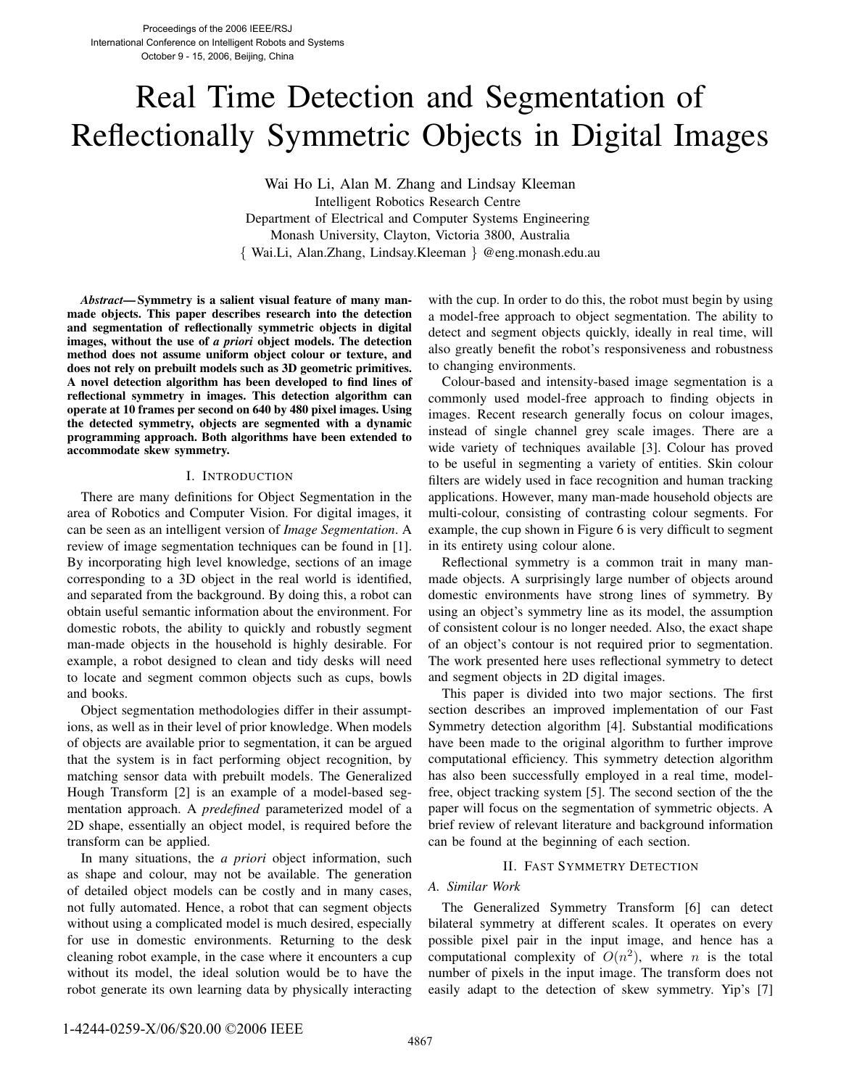# Real Time Detection and Segmentation of Reflectionally Symmetric Objects in Digital Images

Wai Ho Li, Alan M. Zhang and Lindsay Kleeman Intelligent Robotics Research Centre Department of Electrical and Computer Systems Engineering Monash University, Clayton, Victoria 3800, Australia { Wai.Li, Alan.Zhang, Lindsay.Kleeman } @eng.monash.edu.au

*Abstract*— Symmetry is a salient visual feature of many manmade objects. This paper describes research into the detection and segmentation of reflectionally symmetric objects in digital images, without the use of *a priori* object models. The detection method does not assume uniform object colour or texture, and does not rely on prebuilt models such as 3D geometric primitives. A novel detection algorithm has been developed to find lines of reflectional symmetry in images. This detection algorithm can operate at 10 frames per second on 640 by 480 pixel images. Using the detected symmetry, objects are segmented with a dynamic programming approach. Both algorithms have been extended to accommodate skew symmetry.

## I. INTRODUCTION

There are many definitions for Object Segmentation in the area of Robotics and Computer Vision. For digital images, it can be seen as an intelligent version of *Image Segmentation*. A review of image segmentation techniques can be found in [1]. By incorporating high level knowledge, sections of an image corresponding to a 3D object in the real world is identified, and separated from the background. By doing this, a robot can obtain useful semantic information about the environment. For domestic robots, the ability to quickly and robustly segment man-made objects in the household is highly desirable. For example, a robot designed to clean and tidy desks will need to locate and segment common objects such as cups, bowls and books.

Object segmentation methodologies differ in their assumptions, as well as in their level of prior knowledge. When models of objects are available prior to segmentation, it can be argued that the system is in fact performing object recognition, by matching sensor data with prebuilt models. The Generalized Hough Transform [2] is an example of a model-based segmentation approach. A *predefined* parameterized model of a 2D shape, essentially an object model, is required before the transform can be applied.

In many situations, the *a priori* object information, such as shape and colour, may not be available. The generation of detailed object models can be costly and in many cases, not fully automated. Hence, a robot that can segment objects without using a complicated model is much desired, especially for use in domestic environments. Returning to the desk cleaning robot example, in the case where it encounters a cup without its model, the ideal solution would be to have the robot generate its own learning data by physically interacting

with the cup. In order to do this, the robot must begin by using a model-free approach to object segmentation. The ability to detect and segment objects quickly, ideally in real time, will also greatly benefit the robot's responsiveness and robustness to changing environments.

Colour-based and intensity-based image segmentation is a commonly used model-free approach to finding objects in images. Recent research generally focus on colour images, instead of single channel grey scale images. There are a wide variety of techniques available [3]. Colour has proved to be useful in segmenting a variety of entities. Skin colour filters are widely used in face recognition and human tracking applications. However, many man-made household objects are multi-colour, consisting of contrasting colour segments. For example, the cup shown in Figure 6 is very difficult to segment in its entirety using colour alone.

Reflectional symmetry is a common trait in many manmade objects. A surprisingly large number of objects around domestic environments have strong lines of symmetry. By using an object's symmetry line as its model, the assumption of consistent colour is no longer needed. Also, the exact shape of an object's contour is not required prior to segmentation. The work presented here uses reflectional symmetry to detect and segment objects in 2D digital images.

This paper is divided into two major sections. The first section describes an improved implementation of our Fast Symmetry detection algorithm [4]. Substantial modifications have been made to the original algorithm to further improve computational efficiency. This symmetry detection algorithm has also been successfully employed in a real time, modelfree, object tracking system [5]. The second section of the the paper will focus on the segmentation of symmetric objects. A brief review of relevant literature and background information can be found at the beginning of each section.

# II. FAST SYMMETRY DETECTION

# *A. Similar Work*

The Generalized Symmetry Transform [6] can detect bilateral symmetry at different scales. It operates on every possible pixel pair in the input image, and hence has a computational complexity of  $O(n^2)$ , where *n* is the total number of pixels in the input image. The transform does not easily adapt to the detection of skew symmetry. Yip's [7]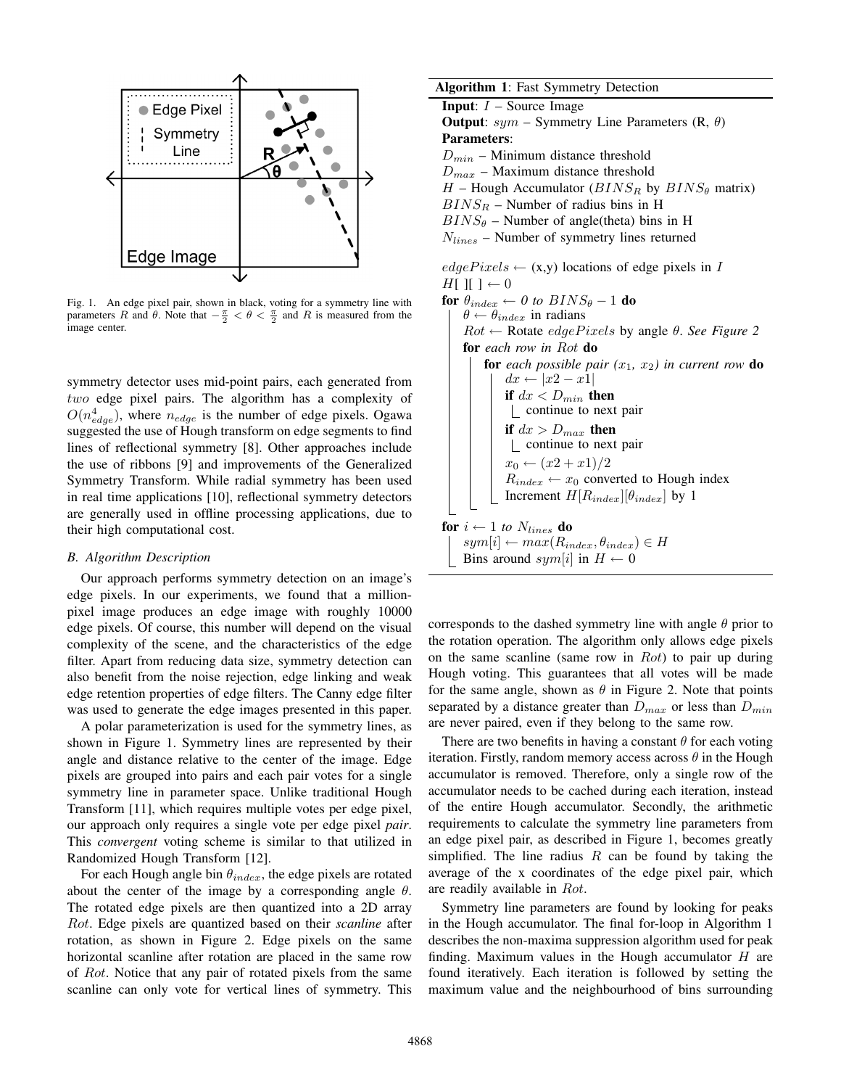

Fig. 1. An edge pixel pair, shown in black, voting for a symmetry line with parameters R and  $\theta$ . Note that  $-\frac{\pi}{2} < \theta < \frac{\pi}{2}$  and R is measured from the image center.

symmetry detector uses mid-point pairs, each generated from two edge pixel pairs. The algorithm has a complexity of  $O(n_{edge}^4)$ , where  $n_{edge}$  is the number of edge pixels. Ogawa suggested the use of Hough transform on edge segments to find lines of reflectional symmetry [8]. Other approaches include the use of ribbons [9] and improvements of the Generalized Symmetry Transform. While radial symmetry has been used in real time applications [10], reflectional symmetry detectors are generally used in offline processing applications, due to their high computational cost.

## *B. Algorithm Description*

Our approach performs symmetry detection on an image's edge pixels. In our experiments, we found that a millionpixel image produces an edge image with roughly 10000 edge pixels. Of course, this number will depend on the visual complexity of the scene, and the characteristics of the edge filter. Apart from reducing data size, symmetry detection can also benefit from the noise rejection, edge linking and weak edge retention properties of edge filters. The Canny edge filter was used to generate the edge images presented in this paper.

A polar parameterization is used for the symmetry lines, as shown in Figure 1. Symmetry lines are represented by their angle and distance relative to the center of the image. Edge pixels are grouped into pairs and each pair votes for a single symmetry line in parameter space. Unlike traditional Hough Transform [11], which requires multiple votes per edge pixel, our approach only requires a single vote per edge pixel *pair*. This *convergent* voting scheme is similar to that utilized in Randomized Hough Transform [12].

For each Hough angle bin  $\theta_{index}$ , the edge pixels are rotated about the center of the image by a corresponding angle  $\theta$ . The rotated edge pixels are then quantized into a 2D array Rot. Edge pixels are quantized based on their *scanline* after rotation, as shown in Figure 2. Edge pixels on the same horizontal scanline after rotation are placed in the same row of Rot. Notice that any pair of rotated pixels from the same scanline can only vote for vertical lines of symmetry. This

| <b>Algorithm 1:</b> Fast Symmetry Detection                     |  |  |  |  |  |
|-----------------------------------------------------------------|--|--|--|--|--|
| <b>Input:</b> $I$ – Source Image                                |  |  |  |  |  |
| <b>Output</b> : $sym - Symmetry$ Line Parameters (R, $\theta$ ) |  |  |  |  |  |
| <b>Parameters:</b>                                              |  |  |  |  |  |
| $D_{min}$ – Minimum distance threshold                          |  |  |  |  |  |
| $D_{max}$ – Maximum distance threshold                          |  |  |  |  |  |
| H – Hough Accumulator ( $BINS_R$ by $BINS_{\theta}$ matrix)     |  |  |  |  |  |
| $BINS_R$ – Number of radius bins in H                           |  |  |  |  |  |
| $BINS_{\theta}$ – Number of angle(theta) bins in H              |  |  |  |  |  |
| $N_{lines}$ – Number of symmetry lines returned                 |  |  |  |  |  |
|                                                                 |  |  |  |  |  |

```
edge \rightarrow (x,y) locations of edge pixels in I
H[ ][ ] \leftarrow 0for \theta_{index} \leftarrow 0 to BINS_{\theta} - 1 do
    \theta \leftarrow \theta_{index} in radians
    Rot \leftarrow Rotate edgePixels by angle \theta. See Figure 2
    for each row in Rot do
         for each possible pair (x_1, x_2) in current row do
             dx \leftarrow |x2 - x1|if dx < D_{min} then
               continue to next pair
             if dx > D_{max} then
              | continue to next pair
             x_0 \leftarrow (x2 + x1)/2R_{index} \leftarrow x_0 converted to Hough index
             Increment H[R_{index}][\theta_{index}] by 1
for i \leftarrow 1 to N_{lines} do
    sym[i] \leftarrow max(R_{index}, \theta_{index}) \in HBins around sym[i] in H \leftarrow 0
```
corresponds to the dashed symmetry line with angle  $\theta$  prior to the rotation operation. The algorithm only allows edge pixels on the same scanline (same row in  $Rot$ ) to pair up during Hough voting. This guarantees that all votes will be made for the same angle, shown as  $\theta$  in Figure 2. Note that points separated by a distance greater than  $D_{max}$  or less than  $D_{min}$ are never paired, even if they belong to the same row.

There are two benefits in having a constant  $\theta$  for each voting iteration. Firstly, random memory access across  $\theta$  in the Hough accumulator is removed. Therefore, only a single row of the accumulator needs to be cached during each iteration, instead of the entire Hough accumulator. Secondly, the arithmetic requirements to calculate the symmetry line parameters from an edge pixel pair, as described in Figure 1, becomes greatly simplified. The line radius  $R$  can be found by taking the average of the x coordinates of the edge pixel pair, which are readily available in Rot.

Symmetry line parameters are found by looking for peaks in the Hough accumulator. The final for-loop in Algorithm 1 describes the non-maxima suppression algorithm used for peak finding. Maximum values in the Hough accumulator  $H$  are found iteratively. Each iteration is followed by setting the maximum value and the neighbourhood of bins surrounding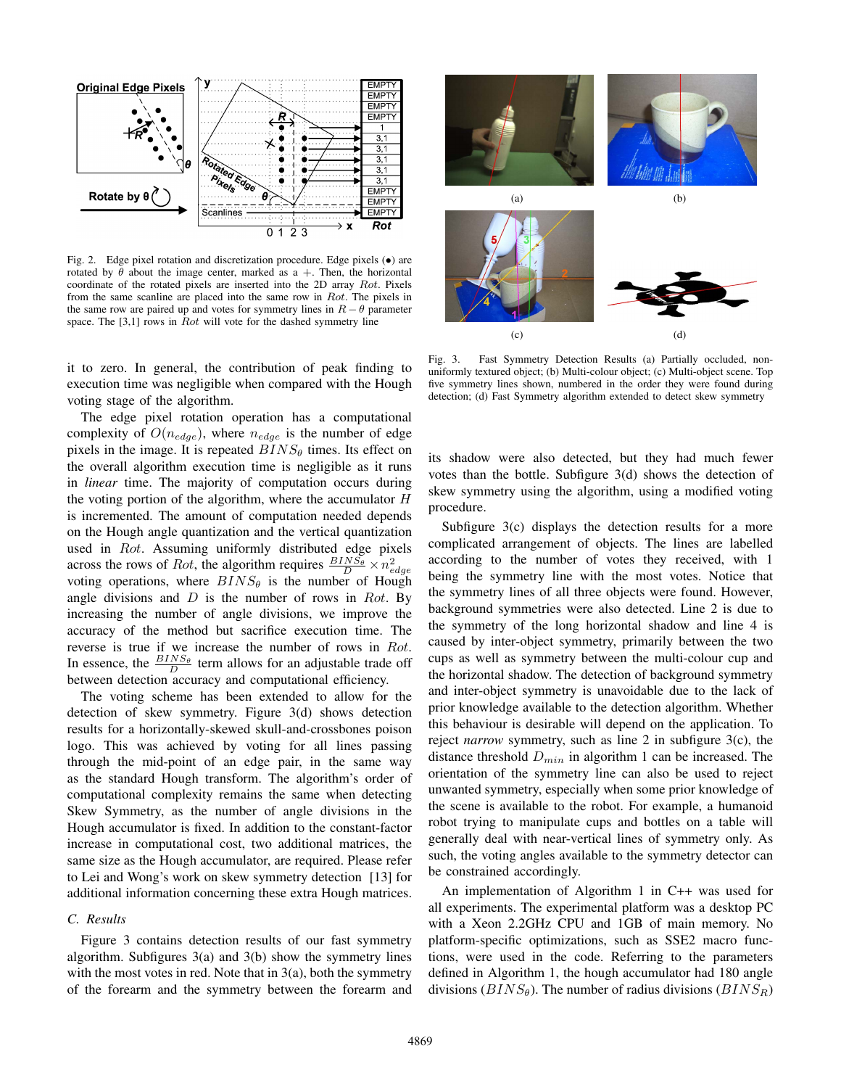

Fig. 2. Edge pixel rotation and discretization procedure. Edge pixels (•) are rotated by  $\theta$  about the image center, marked as a +. Then, the horizontal coordinate of the rotated pixels are inserted into the 2D array Rot. Pixels from the same scanline are placed into the same row in Rot. The pixels in the same row are paired up and votes for symmetry lines in  $R - \theta$  parameter space. The [3,1] rows in Rot will vote for the dashed symmetry line

it to zero. In general, the contribution of peak finding to execution time was negligible when compared with the Hough voting stage of the algorithm.

The edge pixel rotation operation has a computational complexity of  $O(n_{edge})$ , where  $n_{edge}$  is the number of edge pixels in the image. It is repeated  $BINS_{\theta}$  times. Its effect on the overall algorithm execution time is negligible as it runs in *linear* time. The majority of computation occurs during the voting portion of the algorithm, where the accumulator  $H$ is incremented. The amount of computation needed depends on the Hough angle quantization and the vertical quantization used in Rot. Assuming uniformly distributed edge pixels across the rows of *Rot*, the algorithm requires  $\frac{BINS_{\theta}}{D} \times n_{edge}^2$ voting operations, where  $BINS_{\theta}$  is the number of Hough angle divisions and  $D$  is the number of rows in Rot. By increasing the number of angle divisions, we improve the accuracy of the method but sacrifice execution time. The reverse is true if we increase the number of rows in Rot. In essence, the  $\frac{BINS_{\theta}}{D}$  term allows for an adjustable trade off between detection accuracy and computational efficiency.

The voting scheme has been extended to allow for the detection of skew symmetry. Figure 3(d) shows detection results for a horizontally-skewed skull-and-crossbones poison logo. This was achieved by voting for all lines passing through the mid-point of an edge pair, in the same way as the standard Hough transform. The algorithm's order of computational complexity remains the same when detecting Skew Symmetry, as the number of angle divisions in the Hough accumulator is fixed. In addition to the constant-factor increase in computational cost, two additional matrices, the same size as the Hough accumulator, are required. Please refer to Lei and Wong's work on skew symmetry detection [13] for additional information concerning these extra Hough matrices.

## *C. Results*

Figure 3 contains detection results of our fast symmetry algorithm. Subfigures 3(a) and 3(b) show the symmetry lines with the most votes in red. Note that in  $3(a)$ , both the symmetry of the forearm and the symmetry between the forearm and



Fig. 3. Fast Symmetry Detection Results (a) Partially occluded, nonuniformly textured object; (b) Multi-colour object; (c) Multi-object scene. Top five symmetry lines shown, numbered in the order they were found during detection; (d) Fast Symmetry algorithm extended to detect skew symmetry

its shadow were also detected, but they had much fewer votes than the bottle. Subfigure 3(d) shows the detection of skew symmetry using the algorithm, using a modified voting procedure.

Subfigure 3(c) displays the detection results for a more complicated arrangement of objects. The lines are labelled according to the number of votes they received, with 1 being the symmetry line with the most votes. Notice that the symmetry lines of all three objects were found. However, background symmetries were also detected. Line 2 is due to the symmetry of the long horizontal shadow and line 4 is caused by inter-object symmetry, primarily between the two cups as well as symmetry between the multi-colour cup and the horizontal shadow. The detection of background symmetry and inter-object symmetry is unavoidable due to the lack of prior knowledge available to the detection algorithm. Whether this behaviour is desirable will depend on the application. To reject *narrow* symmetry, such as line 2 in subfigure 3(c), the distance threshold  $D_{min}$  in algorithm 1 can be increased. The orientation of the symmetry line can also be used to reject unwanted symmetry, especially when some prior knowledge of the scene is available to the robot. For example, a humanoid robot trying to manipulate cups and bottles on a table will generally deal with near-vertical lines of symmetry only. As such, the voting angles available to the symmetry detector can be constrained accordingly.

An implementation of Algorithm 1 in C++ was used for all experiments. The experimental platform was a desktop PC with a Xeon 2.2GHz CPU and 1GB of main memory. No platform-specific optimizations, such as SSE2 macro functions, were used in the code. Referring to the parameters defined in Algorithm 1, the hough accumulator had 180 angle divisions ( $BINS_{\theta}$ ). The number of radius divisions ( $BINS_{R}$ )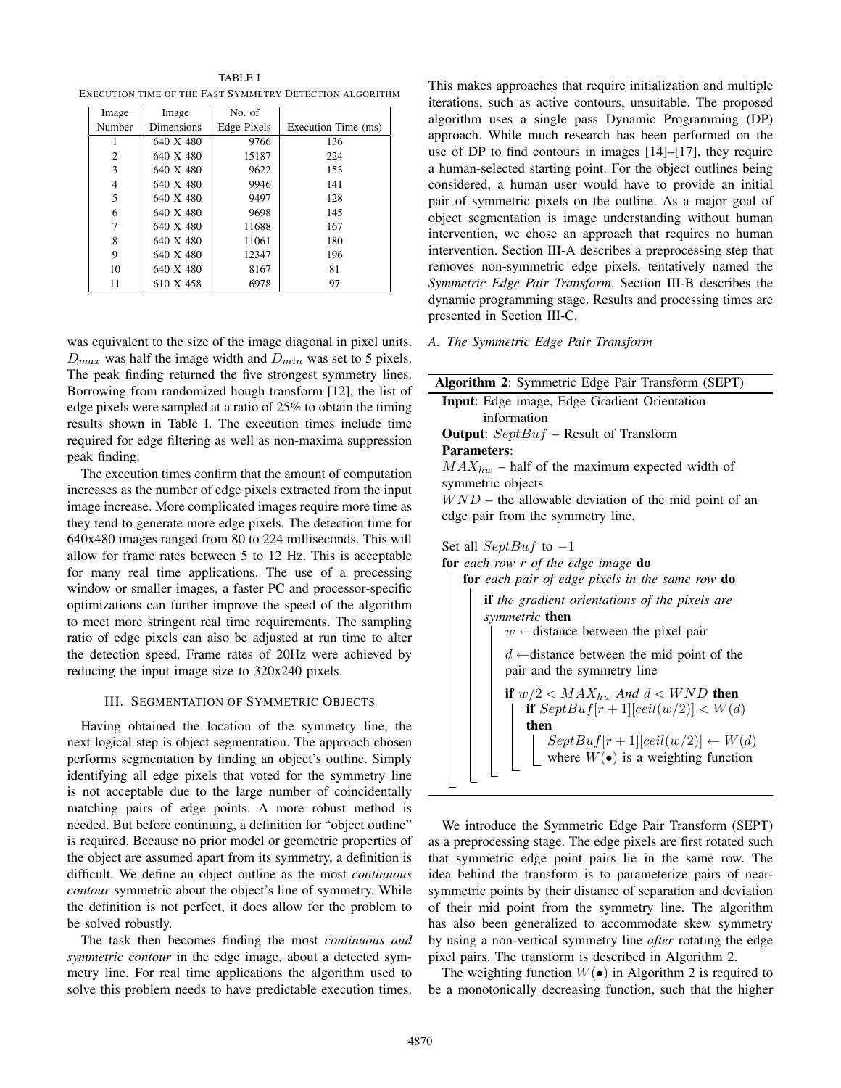TABLE I EXECUTION TIME OF THE FAST SYMMETRY DETECTION ALGORITHM

| Image          | Image             | No. of             |                     |
|----------------|-------------------|--------------------|---------------------|
| Number         | <b>Dimensions</b> | <b>Edge Pixels</b> | Execution Time (ms) |
| 1              | 640 X 480         | 9766               | 136                 |
| 2              | 640 X 480         | 15187              | 224                 |
| 3              | 640 X 480         | 9622               | 153                 |
| $\overline{4}$ | 640 X 480         | 9946               | 141                 |
| 5              | 640 X 480         | 9497               | 128                 |
| 6              | 640 X 480         | 9698               | 145                 |
| 7              | 640 X 480         | 11688              | 167                 |
| 8              | 640 X 480         | 11061              | 180                 |
| 9              | 640 X 480         | 12347              | 196                 |
| 10             | 640 X 480         | 8167               | 81                  |
| 11             | 610 X 458         | 6978               | 97                  |

was equivalent to the size of the image diagonal in pixel units.  $D_{max}$  was half the image width and  $D_{min}$  was set to 5 pixels. The peak finding returned the five strongest symmetry lines. Borrowing from randomized hough transform [12], the list of edge pixels were sampled at a ratio of 25% to obtain the timing results shown in Table I. The execution times include time required for edge filtering as well as non-maxima suppression peak finding.

The execution times confirm that the amount of computation increases as the number of edge pixels extracted from the input image increase. More complicated images require more time as they tend to generate more edge pixels. The detection time for 640x480 images ranged from 80 to 224 milliseconds. This will allow for frame rates between 5 to 12 Hz. This is acceptable for many real time applications. The use of a processing window or smaller images, a faster PC and processor-specific optimizations can further improve the speed of the algorithm to meet more stringent real time requirements. The sampling ratio of edge pixels can also be adjusted at run time to alter the detection speed. Frame rates of 20Hz were achieved by reducing the input image size to 320x240 pixels.

### III. SEGMENTATION OF SYMMETRIC OBJECTS

Having obtained the location of the symmetry line, the next logical step is object segmentation. The approach chosen performs segmentation by finding an object's outline. Simply identifying all edge pixels that voted for the symmetry line is not acceptable due to the large number of coincidentally matching pairs of edge points. A more robust method is needed. But before continuing, a definition for "object outline" is required. Because no prior model or geometric properties of the object are assumed apart from its symmetry, a definition is difficult. We define an object outline as the most *continuous contour* symmetric about the object's line of symmetry. While the definition is not perfect, it does allow for the problem to be solved robustly.

The task then becomes finding the most *continuous and symmetric contour* in the edge image, about a detected symmetry line. For real time applications the algorithm used to solve this problem needs to have predictable execution times. This makes approaches that require initialization and multiple iterations, such as active contours, unsuitable. The proposed algorithm uses a single pass Dynamic Programming (DP) approach. While much research has been performed on the use of DP to find contours in images [14]–[17], they require a human-selected starting point. For the object outlines being considered, a human user would have to provide an initial pair of symmetric pixels on the outline. As a major goal of object segmentation is image understanding without human intervention, we chose an approach that requires no human intervention. Section III-A describes a preprocessing step that removes non-symmetric edge pixels, tentatively named the *Symmetric Edge Pair Transform*. Section III-B describes the dynamic programming stage. Results and processing times are presented in Section III-C.

# *A. The Symmetric Edge Pair Transform*

| Algorithm 2: Symmetric Edge Pair Transform (SEPT)                                                                                                |  |  |  |  |  |
|--------------------------------------------------------------------------------------------------------------------------------------------------|--|--|--|--|--|
| Input: Edge image, Edge Gradient Orientation                                                                                                     |  |  |  |  |  |
| information                                                                                                                                      |  |  |  |  |  |
| <b>Output:</b> $SeptBuf - Result$ of Transform                                                                                                   |  |  |  |  |  |
| <b>Parameters:</b>                                                                                                                               |  |  |  |  |  |
| $MAX_{hw}$ – half of the maximum expected width of                                                                                               |  |  |  |  |  |
| symmetric objects                                                                                                                                |  |  |  |  |  |
| $WND$ – the allowable deviation of the mid point of an                                                                                           |  |  |  |  |  |
| edge pair from the symmetry line.                                                                                                                |  |  |  |  |  |
|                                                                                                                                                  |  |  |  |  |  |
| Set all $SeptButf$ to $-1$                                                                                                                       |  |  |  |  |  |
| for each row r of the edge image do                                                                                                              |  |  |  |  |  |
| for each pair of edge pixels in the same row do                                                                                                  |  |  |  |  |  |
| <b>if</b> the gradient orientations of the pixels are                                                                                            |  |  |  |  |  |
| symmetric then                                                                                                                                   |  |  |  |  |  |
| $w \leftarrow$ distance between the pixel pair                                                                                                   |  |  |  |  |  |
| $d \leftarrow$ distance between the mid point of the                                                                                             |  |  |  |  |  |
| pair and the symmetry line                                                                                                                       |  |  |  |  |  |
|                                                                                                                                                  |  |  |  |  |  |
| if $w/2 < MAX_{hw}$ And $d < WND$ then                                                                                                           |  |  |  |  |  |
| if $SeptBuf[r + 1][ceil(w/2)] < W(d)$                                                                                                            |  |  |  |  |  |
| then                                                                                                                                             |  |  |  |  |  |
| $\begin{array}{ll} \textit{SeptBut}[r+1][ceil(w/2)] \leftarrow W(d) \\ \textit{where } W(\bullet) \textit{ is a weighting function} \end{array}$ |  |  |  |  |  |
|                                                                                                                                                  |  |  |  |  |  |
|                                                                                                                                                  |  |  |  |  |  |
|                                                                                                                                                  |  |  |  |  |  |

We introduce the Symmetric Edge Pair Transform (SEPT) as a preprocessing stage. The edge pixels are first rotated such that symmetric edge point pairs lie in the same row. The idea behind the transform is to parameterize pairs of nearsymmetric points by their distance of separation and deviation of their mid point from the symmetry line. The algorithm has also been generalized to accommodate skew symmetry by using a non-vertical symmetry line *after* rotating the edge pixel pairs. The transform is described in Algorithm 2.

The weighting function  $W(\bullet)$  in Algorithm 2 is required to be a monotonically decreasing function, such that the higher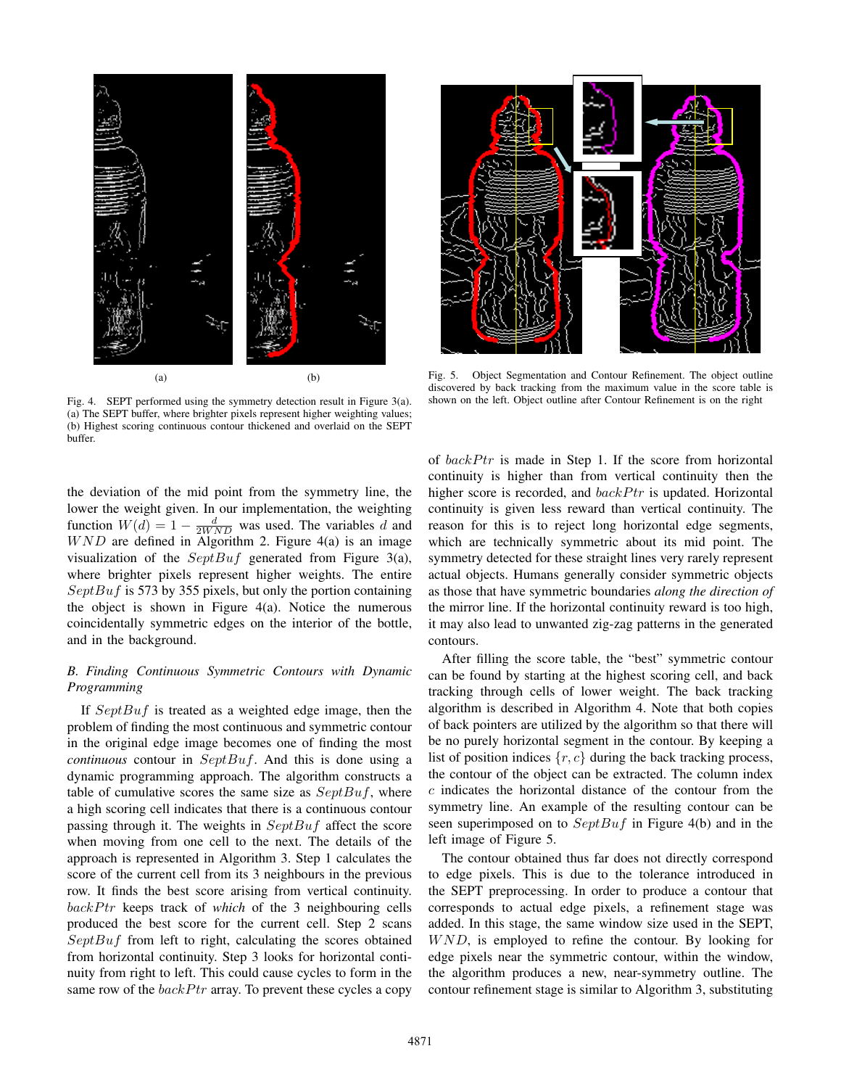

Fig. 4. SEPT performed using the symmetry detection result in Figure 3(a). (a) The SEPT buffer, where brighter pixels represent higher weighting values; (b) Highest scoring continuous contour thickened and overlaid on the SEPT buffer.

the deviation of the mid point from the symmetry line, the lower the weight given. In our implementation, the weighting function  $W(d) = 1 - \frac{d}{2WND}$  was used. The variables d and  $WND$  are defined in Algorithm 2. Figure 4(a) is an image visualization of the  $SeptButf$  generated from Figure 3(a), where brighter pixels represent higher weights. The entire  $SeptBut f$  is 573 by 355 pixels, but only the portion containing the object is shown in Figure  $4(a)$ . Notice the numerous coincidentally symmetric edges on the interior of the bottle, and in the background.

# *B. Finding Continuous Symmetric Contours with Dynamic Programming*

If  $SeptButf$  is treated as a weighted edge image, then the problem of finding the most continuous and symmetric contour in the original edge image becomes one of finding the most *continuous* contour in  $SeptButf$ . And this is done using a dynamic programming approach. The algorithm constructs a table of cumulative scores the same size as  $SeptButf$ , where a high scoring cell indicates that there is a continuous contour passing through it. The weights in  $SeptButf$  affect the score when moving from one cell to the next. The details of the approach is represented in Algorithm 3. Step 1 calculates the score of the current cell from its 3 neighbours in the previous row. It finds the best score arising from vertical continuity. backPtr keeps track of *which* of the 3 neighbouring cells produced the best score for the current cell. Step 2 scans  $SeptButf$  from left to right, calculating the scores obtained from horizontal continuity. Step 3 looks for horizontal continuity from right to left. This could cause cycles to form in the same row of the  $backPtr$  array. To prevent these cycles a copy



Fig. 5. Object Segmentation and Contour Refinement. The object outline discovered by back tracking from the maximum value in the score table is shown on the left. Object outline after Contour Refinement is on the right

of  $backPtr$  is made in Step 1. If the score from horizontal continuity is higher than from vertical continuity then the higher score is recorded, and  $backPtr$  is updated. Horizontal continuity is given less reward than vertical continuity. The reason for this is to reject long horizontal edge segments, which are technically symmetric about its mid point. The symmetry detected for these straight lines very rarely represent actual objects. Humans generally consider symmetric objects as those that have symmetric boundaries *along the direction of* the mirror line. If the horizontal continuity reward is too high, it may also lead to unwanted zig-zag patterns in the generated contours.

After filling the score table, the "best" symmetric contour can be found by starting at the highest scoring cell, and back tracking through cells of lower weight. The back tracking algorithm is described in Algorithm 4. Note that both copies of back pointers are utilized by the algorithm so that there will be no purely horizontal segment in the contour. By keeping a list of position indices  $\{r, c\}$  during the back tracking process, the contour of the object can be extracted. The column index c indicates the horizontal distance of the contour from the symmetry line. An example of the resulting contour can be seen superimposed on to  $SeptButf$  in Figure 4(b) and in the left image of Figure 5.

The contour obtained thus far does not directly correspond to edge pixels. This is due to the tolerance introduced in the SEPT preprocessing. In order to produce a contour that corresponds to actual edge pixels, a refinement stage was added. In this stage, the same window size used in the SEPT, WND, is employed to refine the contour. By looking for edge pixels near the symmetric contour, within the window, the algorithm produces a new, near-symmetry outline. The contour refinement stage is similar to Algorithm 3, substituting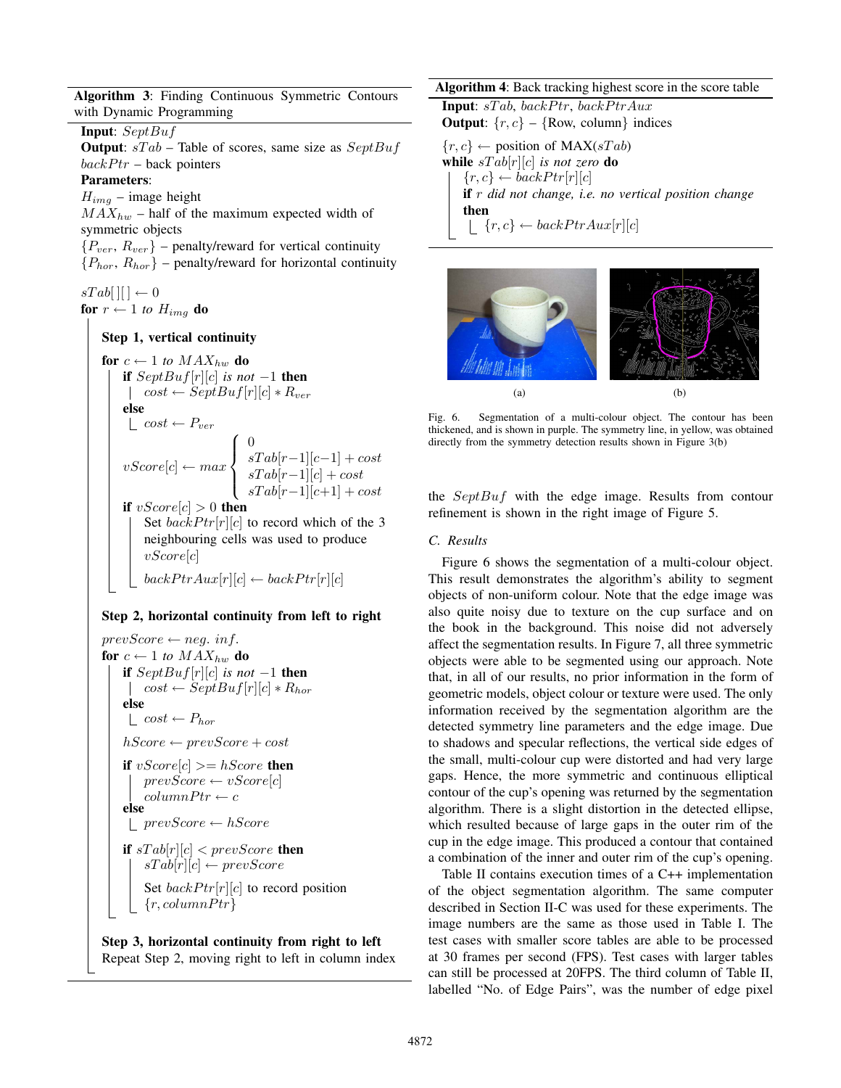Algorithm 3: Finding Continuous Symmetric Contours with Dynamic Programming

Input: SeptBuf

**Output:**  $sTab - Table$  of scores, same size as  $SeptButf$  $backPtr - back points$ 

Parameters:

 $H_{img}$  – image height

 $MAX<sub>hw</sub>$  – half of the maximum expected width of symmetric objects

 ${P_{ver}, R_{ver}}$  – penalty/reward for vertical continuity  ${P_{hor}, R_{hor}}$  – penalty/reward for horizontal continuity

 $sTab[$   $||$   $\leftarrow$  0 for  $r \leftarrow 1$  to  $H_{img}$  do

Step 1, vertical continuity

for  $c \leftarrow 1$  to  $MAX_{hw}$  do if  $SeptBuf[r][c]$  *is not*  $-1$  then  $\left| \quad cost \leftarrow SeptBuf[r][c] * R_{ver}$ else  $\perp \textit{cost} \leftarrow P_{ver}$  $vScore[c] \leftarrow max$  $\sqrt{ }$  $\int$  $\overline{\mathcal{N}}$  $\overline{0}$  $sTab[r-1][c-1] + cost$  $sTab[r-1][c] + cost$  $sTab[r-1][c+1] + cost$ if  $vScore[c] > 0$  then Set  $backPtr[r][c]$  to record which of the 3 neighbouring cells was used to produce vScore[c]  $backPtr[r][c] \leftarrow backPtr[r][c]$ 

# Step 2, horizontal continuity from left to right

```
prevScore \leftarrow neg. inf.for c \leftarrow 1 to MAX_{hw} do
    if SeptBuf[r][c] is not -1 then
     \vert \quad cost \leftarrow SeptBuf[r][c] * R_{hor}else
     \left| \quad cost \leftarrow P_{hor} \right|hScore \leftarrow prevScore + costif vScore[c] >= hScore then
        prevScore \leftarrow vScore[c]column Ptr \leftarrow celse
     \Box prevScore ← hScore
    if sTab[r][c] < prevScore then
        sTab[r][c] \leftarrow prevScoreSet backPtr[r][c] to record position
         {r, column P}
```
Step 3, horizontal continuity from right to left Repeat Step 2, moving right to left in column index

# Algorithm 4: Back tracking highest score in the score table

**Input**:  $sTab$ ,  $backPtr$ ,  $backPtrAux$ **Output:**  $\{r, c\}$  –  $\{Row, column\}$  indices  ${r, c} \leftarrow$  position of MAX(sTab) while sT ab[r][c] *is not zero* do  ${r, c} \leftarrow backPtr[r][c]$ if r *did not change, i.e. no vertical position change* then  $\left[-\{r,c\} \leftarrow backPtrAux[r][c]\right]$ 



Fig. 6. Segmentation of a multi-colour object. The contour has been thickened, and is shown in purple. The symmetry line, in yellow, was obtained directly from the symmetry detection results shown in Figure 3(b)

the  $SeptButf$  with the edge image. Results from contour refinement is shown in the right image of Figure 5.

# *C. Results*

Figure 6 shows the segmentation of a multi-colour object. This result demonstrates the algorithm's ability to segment objects of non-uniform colour. Note that the edge image was also quite noisy due to texture on the cup surface and on the book in the background. This noise did not adversely affect the segmentation results. In Figure 7, all three symmetric objects were able to be segmented using our approach. Note that, in all of our results, no prior information in the form of geometric models, object colour or texture were used. The only information received by the segmentation algorithm are the detected symmetry line parameters and the edge image. Due to shadows and specular reflections, the vertical side edges of the small, multi-colour cup were distorted and had very large gaps. Hence, the more symmetric and continuous elliptical contour of the cup's opening was returned by the segmentation algorithm. There is a slight distortion in the detected ellipse, which resulted because of large gaps in the outer rim of the cup in the edge image. This produced a contour that contained a combination of the inner and outer rim of the cup's opening.

Table II contains execution times of a C++ implementation of the object segmentation algorithm. The same computer described in Section II-C was used for these experiments. The image numbers are the same as those used in Table I. The test cases with smaller score tables are able to be processed at 30 frames per second (FPS). Test cases with larger tables can still be processed at 20FPS. The third column of Table II, labelled "No. of Edge Pairs", was the number of edge pixel